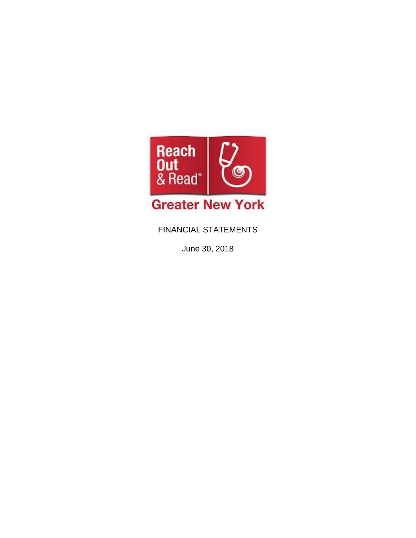

FINANCIAL STATEMENTS

June 30, 2018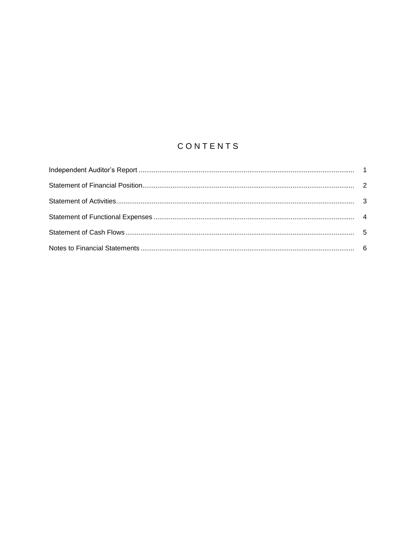# CONTENTS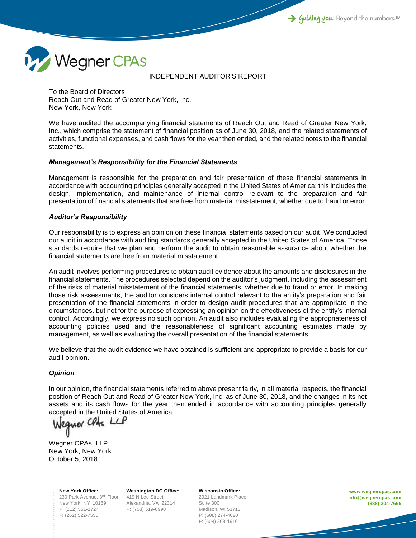

#### INDEPENDENT AUDITOR'S REPORT

To the Board of Directors Reach Out and Read of Greater New York, Inc. New York, New York

We have audited the accompanying financial statements of Reach Out and Read of Greater New York, Inc., which comprise the statement of financial position as of June 30, 2018, and the related statements of activities, functional expenses, and cash flows for the year then ended, and the related notes to the financial statements.

## *Management's Responsibility for the Financial Statements*

Management is responsible for the preparation and fair presentation of these financial statements in accordance with accounting principles generally accepted in the United States of America; this includes the design, implementation, and maintenance of internal control relevant to the preparation and fair presentation of financial statements that are free from material misstatement, whether due to fraud or error.

## *Auditor's Responsibility*

Our responsibility is to express an opinion on these financial statements based on our audit. We conducted our audit in accordance with auditing standards generally accepted in the United States of America. Those standards require that we plan and perform the audit to obtain reasonable assurance about whether the financial statements are free from material misstatement.

An audit involves performing procedures to obtain audit evidence about the amounts and disclosures in the financial statements. The procedures selected depend on the auditor's judgment, including the assessment of the risks of material misstatement of the financial statements, whether due to fraud or error. In making those risk assessments, the auditor considers internal control relevant to the entity's preparation and fair presentation of the financial statements in order to design audit procedures that are appropriate in the circumstances, but not for the purpose of expressing an opinion on the effectiveness of the entity's internal control. Accordingly, we express no such opinion. An audit also includes evaluating the appropriateness of accounting policies used and the reasonableness of significant accounting estimates made by management, as well as evaluating the overall presentation of the financial statements.

We believe that the audit evidence we have obtained is sufficient and appropriate to provide a basis for our audit opinion.

## *Opinion*

In our opinion, the financial statements referred to above present fairly, in all material respects, the financial position of Reach Out and Read of Greater New York, Inc. as of June 30, 2018, and the changes in its net assets and its cash flows for the year then ended in accordance with accounting principles generally accepted in the United States of America.<br>Weguer Cluss LLP

Wegner CPAs, LLP New York, New York October 5, 2018

> **New York Office:** 230 Park Avenue, 3<sup>rd</sup> Floor 419 N Lee Street New York, NY 10169 P: (212) 551-1724 F: (262) 522-7550

**Washington DC Office:** Alexandria, VA 22314 P: (703) 519-0990

**Wisconsin Office:** 2921 Landmark Place Suite 300 Madison, WI 53713 P: (608) 274-4020 F: (608) 308-1616

**www.wegnercpas.com info@wegnercpas.com (888) 204-7665**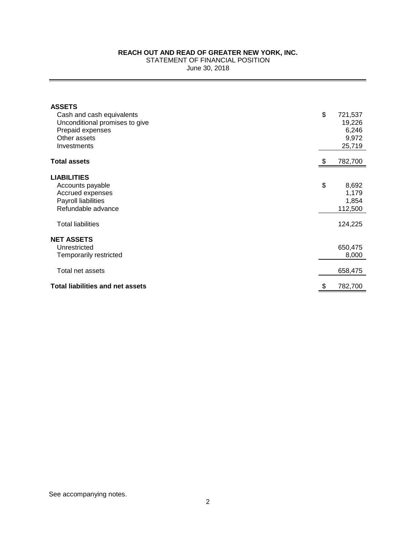STATEMENT OF FINANCIAL POSITION

June 30, 2018

| <b>ASSETS</b><br>Cash and cash equivalents<br>Unconditional promises to give<br>Prepaid expenses<br>Other assets<br>Investments     | \$<br>721,537<br>19,226<br>6,246<br>9,972<br>25,719 |
|-------------------------------------------------------------------------------------------------------------------------------------|-----------------------------------------------------|
| <b>Total assets</b>                                                                                                                 | 782,700                                             |
| <b>LIABILITIES</b><br>Accounts payable<br>Accrued expenses<br>Payroll liabilities<br>Refundable advance<br><b>Total liabilities</b> | \$<br>8,692<br>1,179<br>1,854<br>112,500<br>124,225 |
| <b>NET ASSETS</b><br>Unrestricted<br>Temporarily restricted                                                                         | 650,475<br>8,000                                    |
| Total net assets<br><b>Total liabilities and net assets</b>                                                                         | 658,475<br>782,700                                  |
|                                                                                                                                     |                                                     |

See accompanying notes.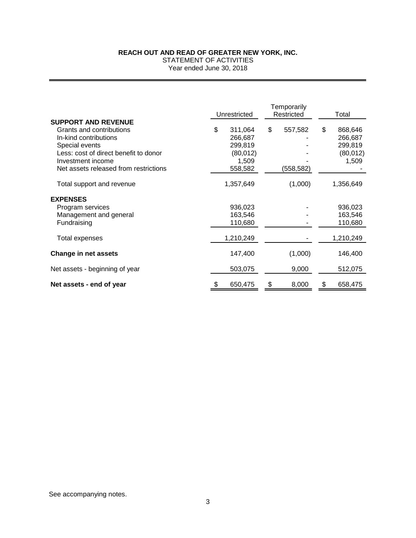STATEMENT OF ACTIVITIES

Year ended June 30, 2018

|                                       | Unrestricted  | Temporarily<br>Restricted |            | Total         |
|---------------------------------------|---------------|---------------------------|------------|---------------|
| <b>SUPPORT AND REVENUE</b>            |               |                           |            |               |
| Grants and contributions              | \$<br>311,064 | \$                        | 557,582    | \$<br>868,646 |
| In-kind contributions                 | 266,687       |                           |            | 266,687       |
| Special events                        | 299,819       |                           |            | 299,819       |
| Less: cost of direct benefit to donor | (80, 012)     |                           |            | (80, 012)     |
| Investment income                     | 1,509         |                           |            | 1,509         |
| Net assets released from restrictions | 558,582       |                           | (558, 582) |               |
| Total support and revenue             | 1,357,649     |                           | (1,000)    | 1,356,649     |
| <b>EXPENSES</b>                       |               |                           |            |               |
| Program services                      | 936,023       |                           |            | 936,023       |
| Management and general                | 163,546       |                           |            | 163,546       |
| Fundraising                           | 110,680       |                           |            | 110,680       |
| Total expenses                        | 1,210,249     |                           |            | 1,210,249     |
| <b>Change in net assets</b>           | 147,400       |                           | (1,000)    | 146,400       |
| Net assets - beginning of year        | 503,075       |                           | 9,000      | 512,075       |
| Net assets - end of year              | 650,475       | \$                        | 8,000      | \$<br>658,475 |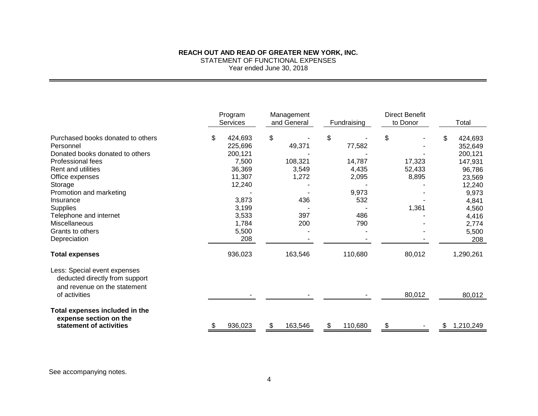## **REACH OUT AND READ OF GREATER NEW YORK, INC.** STATEMENT OF FUNCTIONAL EXPENSES Year ended June 30, 2018

|                                                                                                | Program<br><b>Services</b> | Management<br>and General | Fundraising  | <b>Direct Benefit</b><br>to Donor | Total                    |  |
|------------------------------------------------------------------------------------------------|----------------------------|---------------------------|--------------|-----------------------------------|--------------------------|--|
| Purchased books donated to others<br>Personnel                                                 | \$<br>424,693<br>225,696   | \$<br>49,371              | \$<br>77,582 | \$                                | 424,693<br>\$<br>352,649 |  |
| Donated books donated to others                                                                | 200,121                    |                           |              |                                   | 200,121                  |  |
| Professional fees                                                                              | 7,500                      | 108,321                   | 14,787       | 17,323                            | 147,931                  |  |
| <b>Rent and utilities</b>                                                                      | 36,369                     | 3,549                     | 4,435        | 52,433                            | 96,786                   |  |
| Office expenses                                                                                | 11,307                     | 1,272                     | 2,095        | 8,895                             | 23,569                   |  |
| Storage                                                                                        | 12,240                     |                           |              |                                   | 12,240                   |  |
| Promotion and marketing                                                                        |                            |                           | 9,973        |                                   | 9,973                    |  |
| Insurance                                                                                      | 3,873                      | 436                       | 532          |                                   | 4,841                    |  |
| <b>Supplies</b>                                                                                | 3,199                      |                           |              | 1,361                             | 4,560                    |  |
| Telephone and internet                                                                         | 3,533                      | 397                       | 486          |                                   | 4,416                    |  |
| Miscellaneous                                                                                  | 1,784                      | 200                       | 790          |                                   | 2,774                    |  |
| Grants to others                                                                               | 5,500                      |                           |              |                                   | 5,500                    |  |
| Depreciation                                                                                   | 208                        |                           |              |                                   | 208                      |  |
| <b>Total expenses</b>                                                                          | 936,023                    | 163,546                   | 110,680      | 80,012                            | 1,290,261                |  |
| Less: Special event expenses<br>deducted directly from support<br>and revenue on the statement |                            |                           |              |                                   |                          |  |
| of activities                                                                                  |                            |                           |              | 80,012                            | 80,012                   |  |
| Total expenses included in the<br>expense section on the                                       |                            |                           |              |                                   |                          |  |
| statement of activities                                                                        | 936,023                    | 163,546<br>\$             | 110,680      |                                   | 1,210,249<br>S           |  |

See accompanying notes.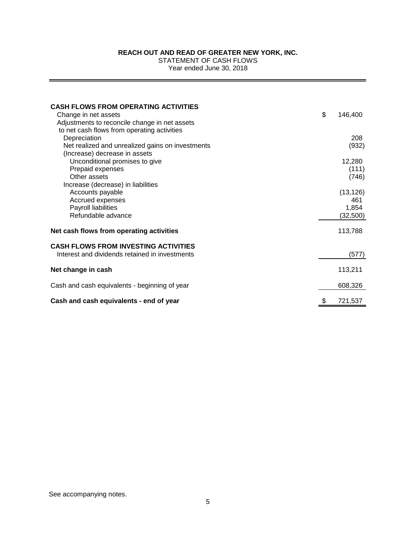STATEMENT OF CASH FLOWS

Year ended June 30, 2018

| <b>CASH FLOWS FROM OPERATING ACTIVITIES</b>      |               |
|--------------------------------------------------|---------------|
| Change in net assets                             | \$<br>146,400 |
| Adjustments to reconcile change in net assets    |               |
| to net cash flows from operating activities      |               |
| Depreciation                                     | 208           |
| Net realized and unrealized gains on investments | (932)         |
| (Increase) decrease in assets                    |               |
| Unconditional promises to give                   | 12,280        |
| Prepaid expenses                                 | (111)         |
| Other assets                                     | (746)         |
| Increase (decrease) in liabilities               |               |
| Accounts payable                                 | (13, 126)     |
| Accrued expenses                                 | 461           |
| Payroll liabilities                              | 1,854         |
| Refundable advance                               | (32, 500)     |
|                                                  |               |
| Net cash flows from operating activities         | 113,788       |
| <b>CASH FLOWS FROM INVESTING ACTIVITIES</b>      |               |
| Interest and dividends retained in investments   | (577)         |
| Net change in cash                               | 113,211       |
|                                                  |               |
| Cash and cash equivalents - beginning of year    | 608,326       |
| Cash and cash equivalents - end of year          | \$<br>721,537 |

See accompanying notes.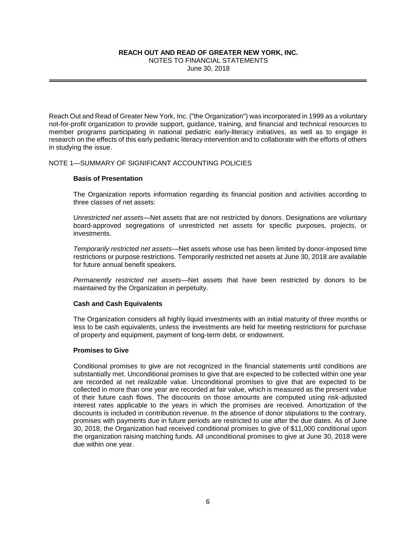NOTES TO FINANCIAL STATEMENTS June 30, 2018

Reach Out and Read of Greater New York, Inc. ("the Organization") was incorporated in 1999 as a voluntary not-for-profit organization to provide support, guidance, training, and financial and technical resources to member programs participating in national pediatric early-literacy initiatives, as well as to engage in research on the effects of this early pediatric literacy intervention and to collaborate with the efforts of others in studying the issue.

## NOTE 1—SUMMARY OF SIGNIFICANT ACCOUNTING POLICIES

## **Basis of Presentation**

The Organization reports information regarding its financial position and activities according to three classes of net assets:

*Unrestricted net assets*—Net assets that are not restricted by donors. Designations are voluntary board-approved segregations of unrestricted net assets for specific purposes, projects, or investments.

*Temporarily restricted net assets*—Net assets whose use has been limited by donor-imposed time restrictions or purpose restrictions. Temporarily restricted net assets at June 30, 2018 are available for future annual benefit speakers.

*Permanently restricted net assets*—Net assets that have been restricted by donors to be maintained by the Organization in perpetuity.

#### **Cash and Cash Equivalents**

The Organization considers all highly liquid investments with an initial maturity of three months or less to be cash equivalents, unless the investments are held for meeting restrictions for purchase of property and equipment, payment of long-term debt, or endowment.

#### **Promises to Give**

Conditional promises to give are not recognized in the financial statements until conditions are substantially met. Unconditional promises to give that are expected to be collected within one year are recorded at net realizable value. Unconditional promises to give that are expected to be collected in more than one year are recorded at fair value, which is measured as the present value of their future cash flows. The discounts on those amounts are computed using risk-adjusted interest rates applicable to the years in which the promises are received. Amortization of the discounts is included in contribution revenue. In the absence of donor stipulations to the contrary, promises with payments due in future periods are restricted to use after the due dates. As of June 30, 2018, the Organization had received conditional promises to give of \$11,000 conditional upon the organization raising matching funds. All unconditional promises to give at June 30, 2018 were due within one year.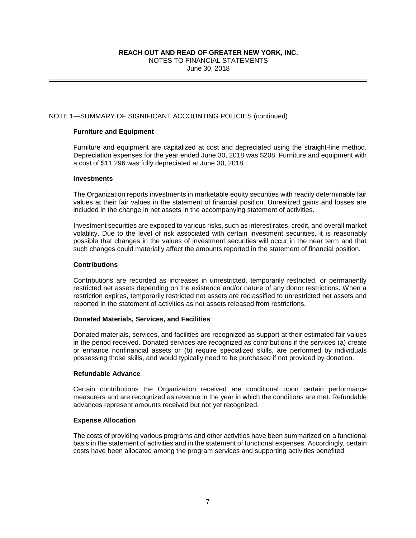NOTES TO FINANCIAL STATEMENTS June 30, 2018

## NOTE 1—SUMMARY OF SIGNIFICANT ACCOUNTING POLICIES (continued)

## **Furniture and Equipment**

Furniture and equipment are capitalized at cost and depreciated using the straight-line method. Depreciation expenses for the year ended June 30, 2018 was \$208. Furniture and equipment with a cost of \$11,296 was fully depreciated at June 30, 2018.

#### **Investments**

The Organization reports investments in marketable equity securities with readily determinable fair values at their fair values in the statement of financial position. Unrealized gains and losses are included in the change in net assets in the accompanying statement of activities.

Investment securities are exposed to various risks, such as interest rates, credit, and overall market volatility. Due to the level of risk associated with certain investment securities, it is reasonably possible that changes in the values of investment securities will occur in the near term and that such changes could materially affect the amounts reported in the statement of financial position.

## **Contributions**

Contributions are recorded as increases in unrestricted, temporarily restricted, or permanently restricted net assets depending on the existence and/or nature of any donor restrictions. When a restriction expires, temporarily restricted net assets are reclassified to unrestricted net assets and reported in the statement of activities as net assets released from restrictions.

## **Donated Materials, Services, and Facilities**

Donated materials, services, and facilities are recognized as support at their estimated fair values in the period received. Donated services are recognized as contributions if the services (a) create or enhance nonfinancial assets or (b) require specialized skills, are performed by individuals possessing those skills, and would typically need to be purchased if not provided by donation.

## **Refundable Advance**

Certain contributions the Organization received are conditional upon certain performance measurers and are recognized as revenue in the year in which the conditions are met. Refundable advances represent amounts received but not yet recognized.

#### **Expense Allocation**

The costs of providing various programs and other activities have been summarized on a functional basis in the statement of activities and in the statement of functional expenses. Accordingly, certain costs have been allocated among the program services and supporting activities benefited.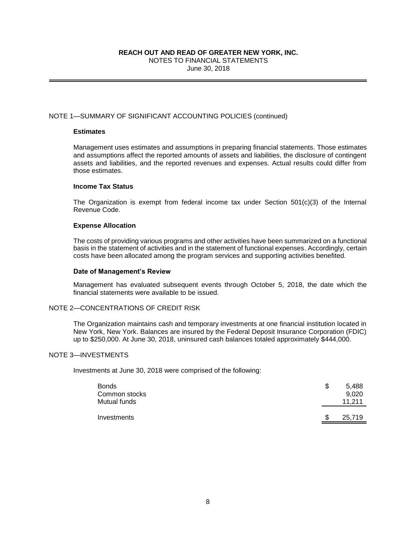NOTES TO FINANCIAL STATEMENTS June 30, 2018

## NOTE 1—SUMMARY OF SIGNIFICANT ACCOUNTING POLICIES (continued)

## **Estimates**

Management uses estimates and assumptions in preparing financial statements. Those estimates and assumptions affect the reported amounts of assets and liabilities, the disclosure of contingent assets and liabilities, and the reported revenues and expenses. Actual results could differ from those estimates.

## **Income Tax Status**

The Organization is exempt from federal income tax under Section  $501(c)(3)$  of the Internal Revenue Code.

#### **Expense Allocation**

The costs of providing various programs and other activities have been summarized on a functional basis in the statement of activities and in the statement of functional expenses. Accordingly, certain costs have been allocated among the program services and supporting activities benefited.

## **Date of Management's Review**

Management has evaluated subsequent events through October 5, 2018, the date which the financial statements were available to be issued.

# NOTE 2—CONCENTRATIONS OF CREDIT RISK

The Organization maintains cash and temporary investments at one financial institution located in New York, New York. Balances are insured by the Federal Deposit Insurance Corporation (FDIC) up to \$250,000. At June 30, 2018, uninsured cash balances totaled approximately \$444,000.

## NOTE 3—INVESTMENTS

Investments at June 30, 2018 were comprised of the following:

| <b>Bonds</b><br>Common stocks<br>Mutual funds | S | 5,488<br>9.020<br>11.211 |
|-----------------------------------------------|---|--------------------------|
| Investments                                   | S | 25,719                   |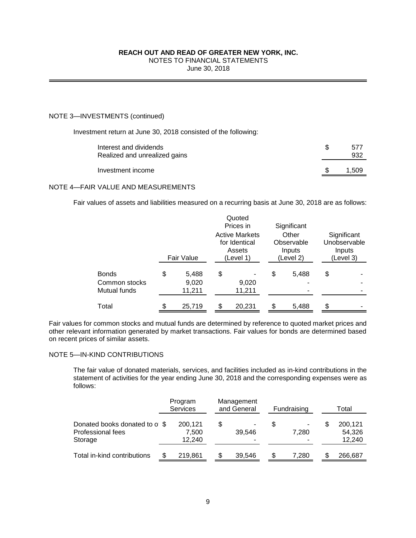# NOTES TO FINANCIAL STATEMENTS

June 30, 2018

# NOTE 3—INVESTMENTS (continued)

Investment return at June 30, 2018 consisted of the following:

| Interest and dividends<br>Realized and unrealized gains | 577<br>932 |
|---------------------------------------------------------|------------|
| Investment income                                       | 1.509      |

# NOTE 4—FAIR VALUE AND MEASUREMENTS

Fair values of assets and liabilities measured on a recurring basis at June 30, 2018 are as follows:

|                                               |                                |                                                               | Quoted<br>Prices in |    | Significant                                |                                                    |
|-----------------------------------------------|--------------------------------|---------------------------------------------------------------|---------------------|----|--------------------------------------------|----------------------------------------------------|
|                                               | Fair Value                     | <b>Active Markets</b><br>for Identical<br>Assets<br>(Level 1) |                     |    | Other<br>Observable<br>Inputs<br>(Level 2) | Significant<br>Unobservable<br>Inputs<br>(Level 3) |
| <b>Bonds</b><br>Common stocks<br>Mutual funds | \$<br>5,488<br>9,020<br>11,211 | \$                                                            | 9,020<br>11,211     |    | 5,488                                      | \$                                                 |
| Total                                         | \$<br>25,719                   |                                                               | 20,231              | \$ | 5,488                                      |                                                    |

Fair values for common stocks and mutual funds are determined by reference to quoted market prices and other relevant information generated by market transactions. Fair values for bonds are determined based on recent prices of similar assets.

## NOTE 5—IN-KIND CONTRIBUTIONS

The fair value of donated materials, services, and facilities included as in-kind contributions in the statement of activities for the year ending June 30, 2018 and the corresponding expenses were as follows:

|                                                               |  | Program<br><b>Services</b> |   | Management<br>and General |   | Fundraising |     | Total                       |
|---------------------------------------------------------------|--|----------------------------|---|---------------------------|---|-------------|-----|-----------------------------|
| Donated books donated to o \$<br>Professional fees<br>Storage |  | 200,121<br>7,500<br>12.240 | S | 39.546                    | S | -<br>7.280  | \$. | 200,121<br>54,326<br>12,240 |
| Total in-kind contributions                                   |  | 219,861                    |   | 39,546                    | S | 7.280       |     | 266,687                     |